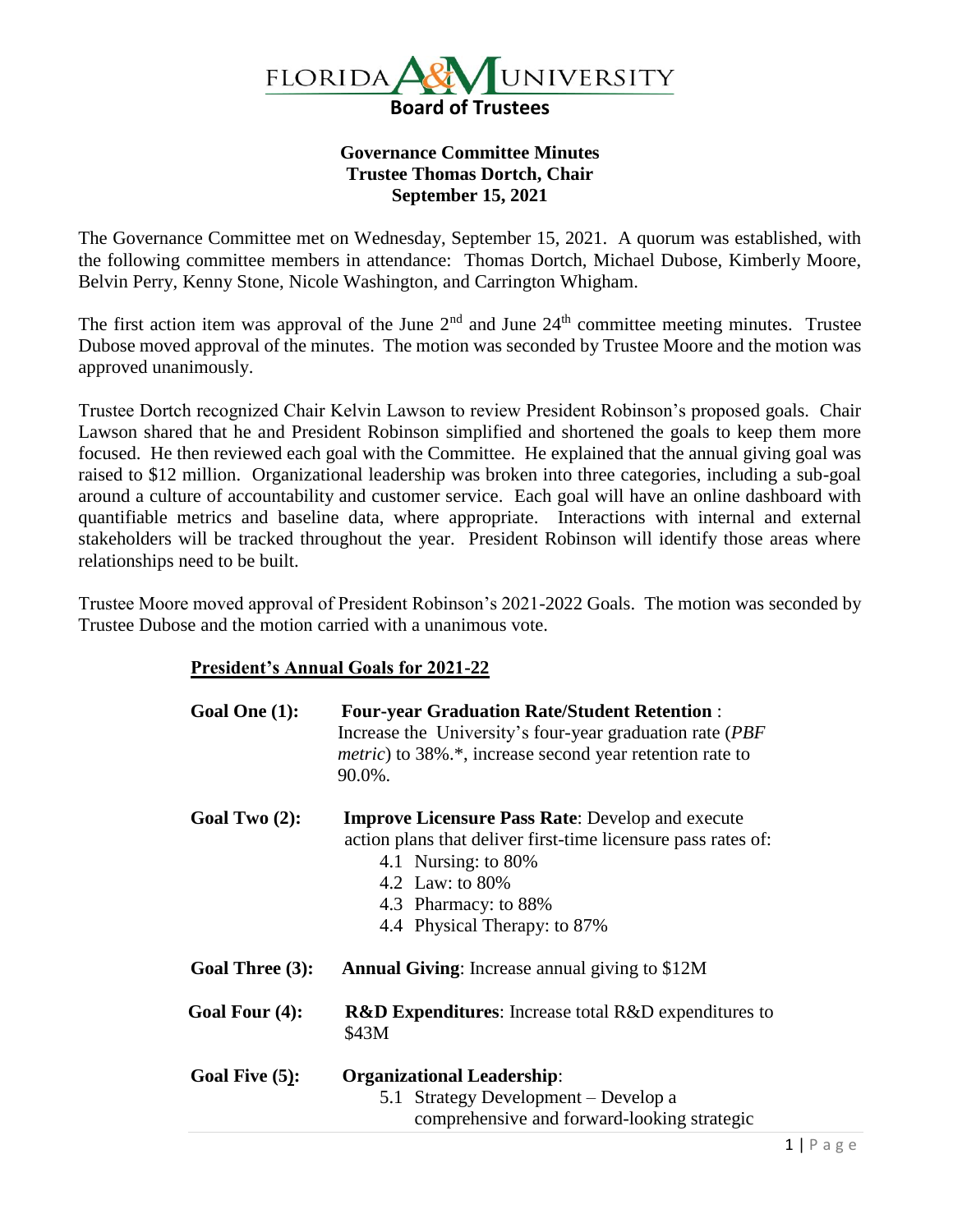

## **Governance Committee Minutes Trustee Thomas Dortch, Chair September 15, 2021**

The Governance Committee met on Wednesday, September 15, 2021. A quorum was established, with the following committee members in attendance: Thomas Dortch, Michael Dubose, Kimberly Moore, Belvin Perry, Kenny Stone, Nicole Washington, and Carrington Whigham.

The first action item was approval of the June  $2<sup>nd</sup>$  and June  $24<sup>th</sup>$  committee meeting minutes. Trustee Dubose moved approval of the minutes. The motion was seconded by Trustee Moore and the motion was approved unanimously.

Trustee Dortch recognized Chair Kelvin Lawson to review President Robinson's proposed goals. Chair Lawson shared that he and President Robinson simplified and shortened the goals to keep them more focused. He then reviewed each goal with the Committee. He explained that the annual giving goal was raised to \$12 million. Organizational leadership was broken into three categories, including a sub-goal around a culture of accountability and customer service. Each goal will have an online dashboard with quantifiable metrics and baseline data, where appropriate. Interactions with internal and external stakeholders will be tracked throughout the year. President Robinson will identify those areas where relationships need to be built.

Trustee Moore moved approval of President Robinson's 2021-2022 Goals. The motion was seconded by Trustee Dubose and the motion carried with a unanimous vote.

## **President's Annual Goals for 2021-22**

| Goal One (1):     | <b>Four-year Graduation Rate/Student Retention:</b><br>Increase the University's four-year graduation rate (PBF)<br><i>metric</i> ) to 38%.*, increase second year retention rate to<br>90.0%.                             |
|-------------------|----------------------------------------------------------------------------------------------------------------------------------------------------------------------------------------------------------------------------|
| Goal Two $(2)$ :  | <b>Improve Licensure Pass Rate:</b> Develop and execute<br>action plans that deliver first-time licensure pass rates of:<br>4.1 Nursing: to 80%<br>4.2 Law: to 80%<br>4.3 Pharmacy: to 88%<br>4.4 Physical Therapy: to 87% |
| Goal Three (3):   | <b>Annual Giving:</b> Increase annual giving to \$12M                                                                                                                                                                      |
| Goal Four (4):    | <b>R&amp;D Expenditures:</b> Increase total R&D expenditures to<br>\$43M                                                                                                                                                   |
| Goal Five $(5)$ : | <b>Organizational Leadership:</b><br>5.1 Strategy Development – Develop a<br>comprehensive and forward-looking strategic                                                                                                   |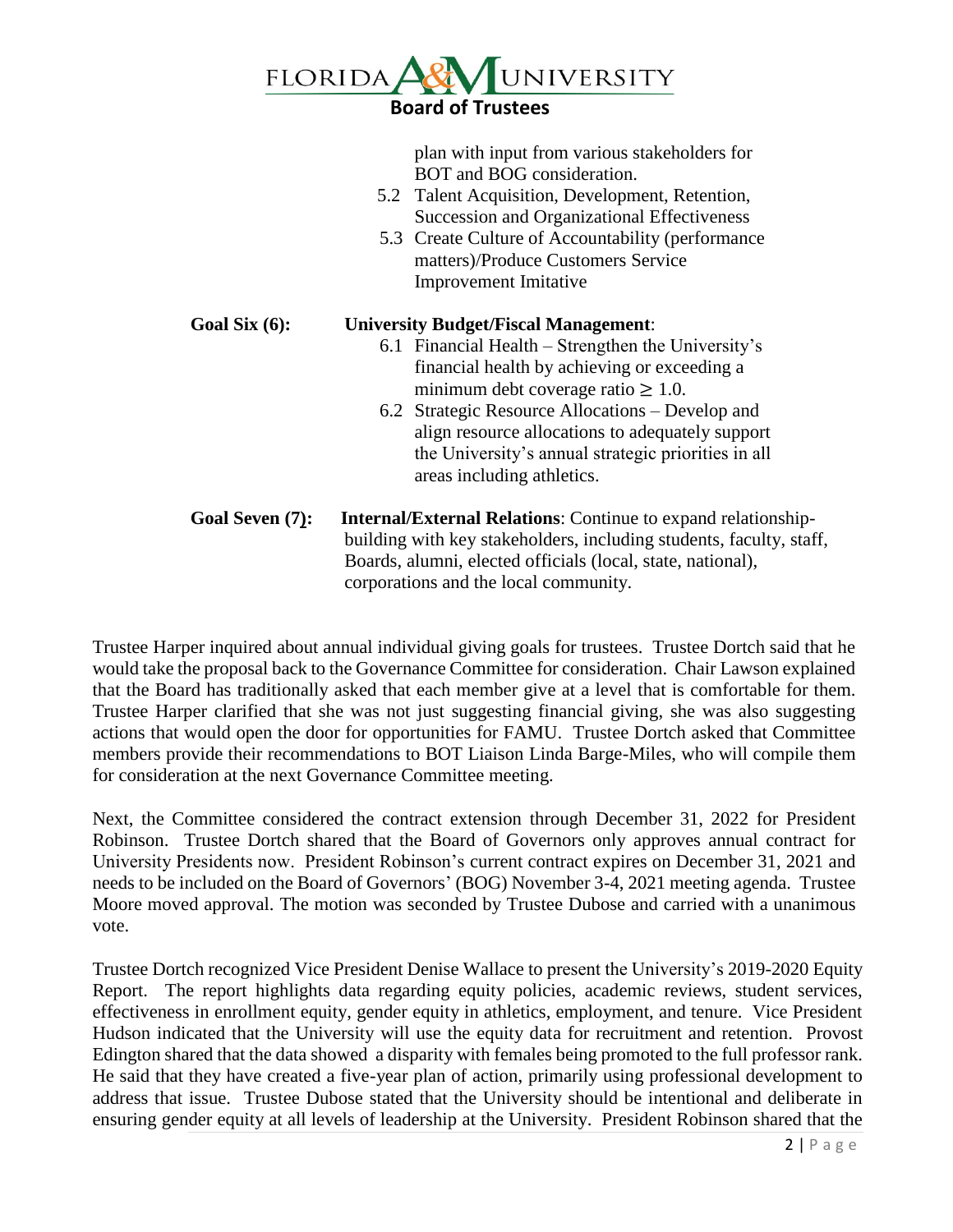

plan with input from various stakeholders for BOT and BOG consideration.

- 5.2 Talent Acquisition, Development, Retention, Succession and Organizational Effectiveness
- 5.3 Create Culture of Accountability (performance matters)/Produce Customers Service Improvement Imitative

**Goal Six (6): University Budget/Fiscal Management**: 6.1 Financial Health – Strengthen the University's financial health by achieving or exceeding a minimum debt coverage ratio  $\geq 1.0$ . 6.2 Strategic Resource Allocations – Develop and align resource allocations to adequately support the University's annual strategic priorities in all areas including athletics. **Goal Seven (7): Internal/External Relations**: Continue to expand relationshipbuilding with key stakeholders, including students, faculty, staff, Boards, alumni, elected officials (local, state, national),

corporations and the local community.

Trustee Harper inquired about annual individual giving goals for trustees. Trustee Dortch said that he would take the proposal back to the Governance Committee for consideration. Chair Lawson explained that the Board has traditionally asked that each member give at a level that is comfortable for them. Trustee Harper clarified that she was not just suggesting financial giving, she was also suggesting actions that would open the door for opportunities for FAMU. Trustee Dortch asked that Committee members provide their recommendations to BOT Liaison Linda Barge-Miles, who will compile them for consideration at the next Governance Committee meeting.

Next, the Committee considered the contract extension through December 31, 2022 for President Robinson. Trustee Dortch shared that the Board of Governors only approves annual contract for University Presidents now. President Robinson's current contract expires on December 31, 2021 and needs to be included on the Board of Governors' (BOG) November 3-4, 2021 meeting agenda. Trustee Moore moved approval. The motion was seconded by Trustee Dubose and carried with a unanimous vote.

Trustee Dortch recognized Vice President Denise Wallace to present the University's 2019-2020 Equity Report. The report highlights data regarding equity policies, academic reviews, student services, effectiveness in enrollment equity, gender equity in athletics, employment, and tenure. Vice President Hudson indicated that the University will use the equity data for recruitment and retention. Provost Edington shared that the data showed a disparity with females being promoted to the full professor rank. He said that they have created a five-year plan of action, primarily using professional development to address that issue. Trustee Dubose stated that the University should be intentional and deliberate in ensuring gender equity at all levels of leadership at the University. President Robinson shared that the